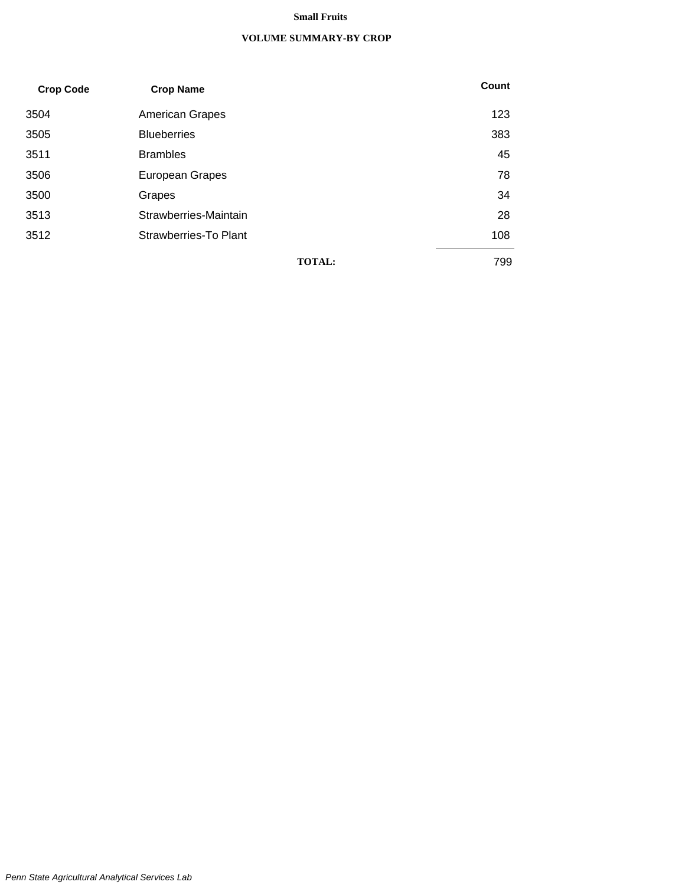#### **Small Fruits**

#### **VOLUME SUMMARY-BY CROP**

| <b>Crop Code</b> | <b>Crop Name</b>       | Count |
|------------------|------------------------|-------|
| 3504             | <b>American Grapes</b> | 123   |
| 3505             | <b>Blueberries</b>     | 383   |
| 3511             | <b>Brambles</b>        | 45    |
| 3506             | <b>European Grapes</b> | 78    |
| 3500             | Grapes                 | 34    |
| 3513             | Strawberries-Maintain  | 28    |
| 3512             | Strawberries-To Plant  | 108   |
|                  | <b>TOTAL:</b>          | 799   |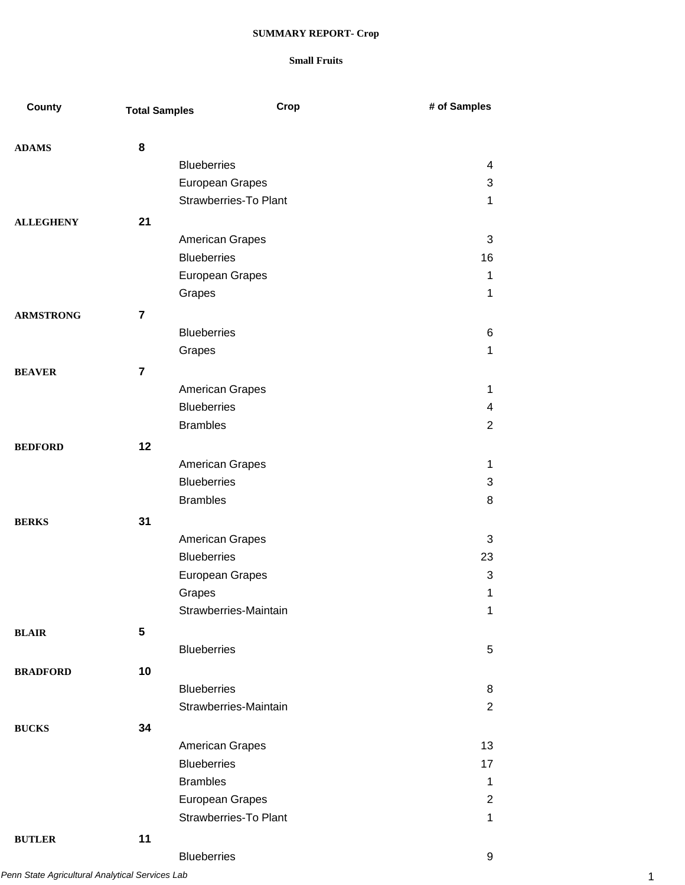| County           | <b>Total Samples</b> | Crop                         | # of Samples   |
|------------------|----------------------|------------------------------|----------------|
| <b>ADAMS</b>     | 8                    |                              |                |
|                  |                      | <b>Blueberries</b>           | 4              |
|                  |                      | European Grapes              | 3              |
|                  |                      | <b>Strawberries-To Plant</b> | 1              |
| <b>ALLEGHENY</b> | 21                   |                              |                |
|                  |                      | American Grapes              | 3              |
|                  |                      | <b>Blueberries</b>           | 16             |
|                  |                      | European Grapes              | 1              |
|                  |                      | Grapes                       | 1              |
| <b>ARMSTRONG</b> | 7                    |                              |                |
|                  |                      | <b>Blueberries</b>           | 6              |
|                  |                      | Grapes                       | 1              |
| <b>BEAVER</b>    | $\overline{7}$       |                              |                |
|                  |                      | <b>American Grapes</b>       | 1              |
|                  |                      | <b>Blueberries</b>           | 4              |
|                  |                      | <b>Brambles</b>              | $\overline{2}$ |
| <b>BEDFORD</b>   | 12                   |                              |                |
|                  |                      | American Grapes              | 1              |
|                  |                      | <b>Blueberries</b>           | 3              |
|                  |                      | <b>Brambles</b>              | 8              |
| <b>BERKS</b>     | 31                   |                              |                |
|                  |                      | American Grapes              | 3              |
|                  |                      | <b>Blueberries</b>           | 23             |
|                  |                      | <b>European Grapes</b>       | 3              |
|                  |                      | Grapes                       | 1              |
|                  |                      | Strawberries-Maintain        | 1              |
| <b>BLAIR</b>     | 5                    |                              |                |
|                  |                      | <b>Blueberries</b>           | 5              |
| <b>BRADFORD</b>  | 10                   |                              |                |
|                  |                      | <b>Blueberries</b>           | 8              |
|                  |                      | Strawberries-Maintain        | 2              |
| <b>BUCKS</b>     | 34                   |                              |                |
|                  |                      | American Grapes              | 13             |
|                  |                      | <b>Blueberries</b>           | 17             |
|                  |                      | <b>Brambles</b>              | $\mathbf 1$    |
|                  |                      | European Grapes              | $\overline{2}$ |
|                  |                      | <b>Strawberries-To Plant</b> | $\mathbf{1}$   |
| <b>BUTLER</b>    | 11                   |                              |                |
|                  |                      | <b>Blueberries</b>           | 9              |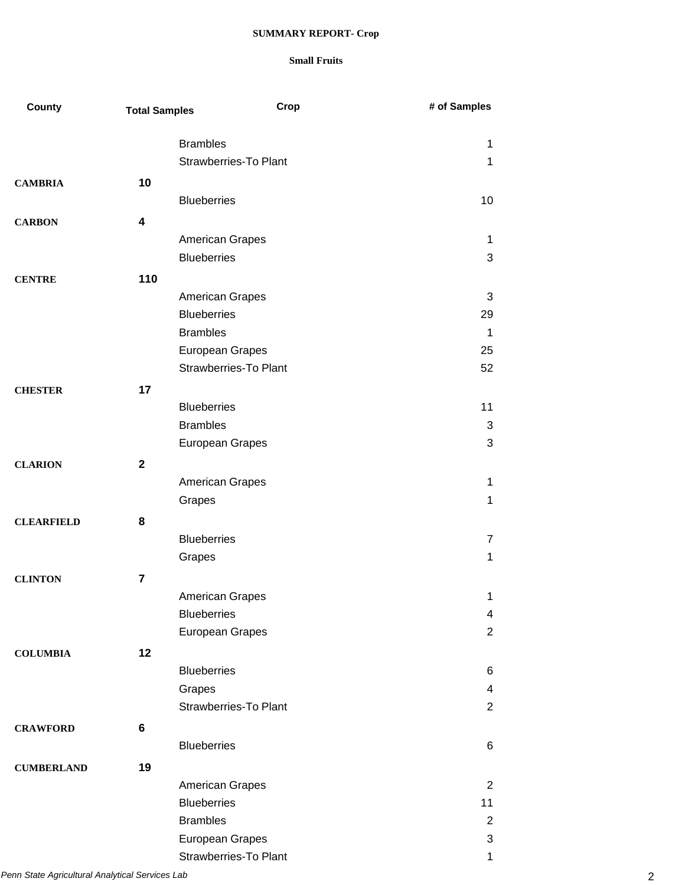| <b>County</b>     | <b>Total Samples</b> | Crop                         | # of Samples   |
|-------------------|----------------------|------------------------------|----------------|
|                   |                      | <b>Brambles</b>              | 1              |
|                   |                      | <b>Strawberries-To Plant</b> | 1              |
|                   | 10                   |                              |                |
| <b>CAMBRIA</b>    |                      | <b>Blueberries</b>           | 10             |
|                   |                      |                              |                |
| <b>CARBON</b>     | 4                    |                              |                |
|                   |                      | American Grapes              | 1              |
|                   |                      | <b>Blueberries</b>           | 3              |
| <b>CENTRE</b>     | 110                  |                              |                |
|                   |                      | <b>American Grapes</b>       | 3              |
|                   |                      | <b>Blueberries</b>           | 29             |
|                   |                      | <b>Brambles</b>              | $\mathbf{1}$   |
|                   |                      | European Grapes              | 25             |
|                   |                      | <b>Strawberries-To Plant</b> | 52             |
| <b>CHESTER</b>    | 17                   |                              |                |
|                   |                      | <b>Blueberries</b>           | 11             |
|                   |                      | <b>Brambles</b>              | 3              |
|                   |                      | European Grapes              | 3              |
| <b>CLARION</b>    | $\mathbf{2}$         |                              |                |
|                   |                      | American Grapes              | 1              |
|                   |                      | Grapes                       | $\mathbf 1$    |
| <b>CLEARFIELD</b> | 8                    |                              |                |
|                   |                      | <b>Blueberries</b>           | $\overline{7}$ |
|                   |                      | Grapes                       | 1              |
|                   |                      |                              |                |
| <b>CLINTON</b>    | $\overline{7}$       |                              |                |
|                   |                      | <b>American Grapes</b>       | 1              |
|                   |                      | <b>Blueberries</b>           | 4              |
|                   |                      | European Grapes              | $\overline{2}$ |
| <b>COLUMBIA</b>   | 12                   |                              |                |
|                   |                      | <b>Blueberries</b>           | 6              |
|                   |                      | Grapes                       | 4              |
|                   |                      | <b>Strawberries-To Plant</b> | $\overline{2}$ |
| <b>CRAWFORD</b>   | 6                    |                              |                |
|                   |                      | <b>Blueberries</b>           | 6              |
| <b>CUMBERLAND</b> | 19                   |                              |                |
|                   |                      | American Grapes              | $\overline{2}$ |
|                   |                      | <b>Blueberries</b>           | 11             |
|                   |                      | <b>Brambles</b>              | $\overline{2}$ |
|                   |                      | European Grapes              | 3              |
|                   |                      | <b>Strawberries-To Plant</b> | $\mathbf 1$    |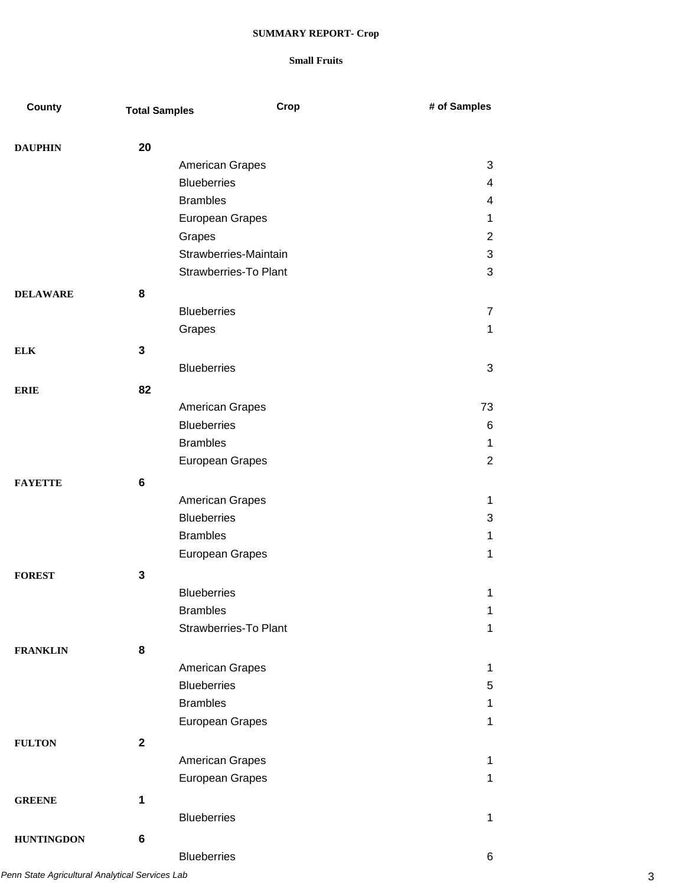| County            | <b>Total Samples</b> | Crop                         | # of Samples   |
|-------------------|----------------------|------------------------------|----------------|
| <b>DAUPHIN</b>    | 20                   |                              |                |
|                   |                      | American Grapes              | 3              |
|                   |                      | <b>Blueberries</b>           | 4              |
|                   |                      | <b>Brambles</b>              | 4              |
|                   |                      | European Grapes              | 1              |
|                   |                      | Grapes                       | $\overline{2}$ |
|                   |                      | Strawberries-Maintain        | 3              |
|                   |                      | <b>Strawberries-To Plant</b> | 3              |
| <b>DELAWARE</b>   | 8                    |                              |                |
|                   |                      | <b>Blueberries</b>           | $\overline{7}$ |
|                   |                      | Grapes                       | 1              |
|                   | 3                    |                              |                |
| <b>ELK</b>        |                      | <b>Blueberries</b>           | 3              |
|                   |                      |                              |                |
| <b>ERIE</b>       | 82                   |                              |                |
|                   |                      | American Grapes              | 73             |
|                   |                      | <b>Blueberries</b>           | 6              |
|                   |                      | <b>Brambles</b>              | 1              |
|                   |                      | European Grapes              | $\overline{2}$ |
| <b>FAYETTE</b>    | 6                    |                              |                |
|                   |                      | American Grapes              | 1              |
|                   |                      | <b>Blueberries</b>           | 3              |
|                   |                      | <b>Brambles</b>              | 1              |
|                   |                      | <b>European Grapes</b>       | 1              |
| <b>FOREST</b>     | 3                    |                              |                |
|                   |                      | <b>Blueberries</b>           | 1              |
|                   |                      | <b>Brambles</b>              | 1              |
|                   |                      | <b>Strawberries-To Plant</b> | 1              |
| <b>FRANKLIN</b>   | 8                    |                              |                |
|                   |                      | American Grapes              | 1              |
|                   |                      | <b>Blueberries</b>           | 5              |
|                   |                      | <b>Brambles</b>              | 1              |
|                   |                      | European Grapes              | 1              |
| <b>FULTON</b>     | $\mathbf{2}$         |                              |                |
|                   |                      | American Grapes              | 1              |
|                   |                      | European Grapes              | 1              |
| <b>GREENE</b>     | 1                    |                              |                |
|                   |                      | <b>Blueberries</b>           | 1              |
|                   |                      |                              |                |
| <b>HUNTINGDON</b> | 6                    |                              |                |
|                   |                      | <b>Blueberries</b>           | 6              |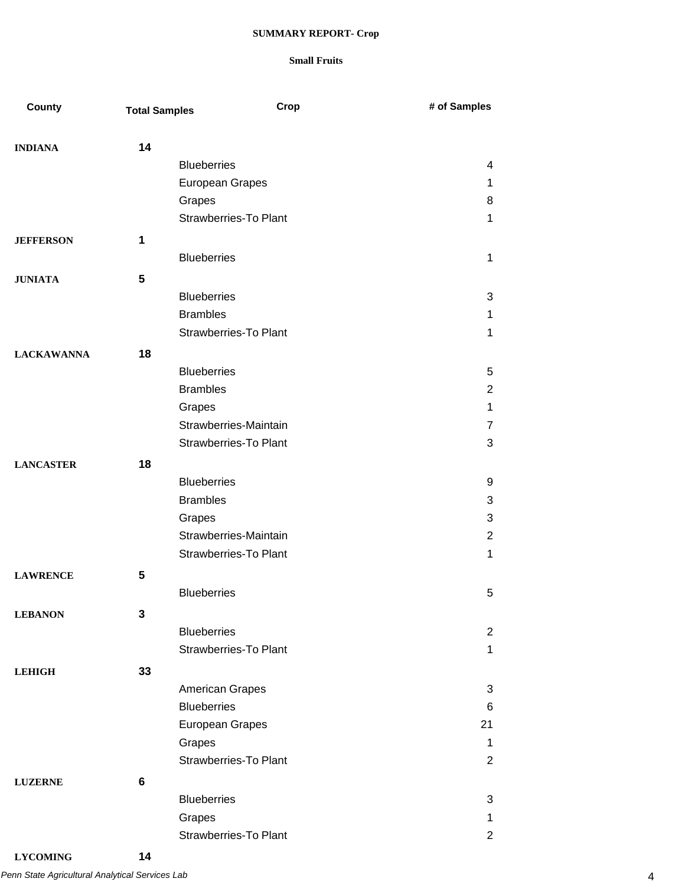| <b>County</b>     | <b>Total Samples</b> | Crop                         | # of Samples   |
|-------------------|----------------------|------------------------------|----------------|
|                   |                      |                              |                |
| <b>INDIANA</b>    | 14                   |                              |                |
|                   |                      | <b>Blueberries</b>           | 4              |
|                   |                      | European Grapes              | 1              |
|                   |                      | Grapes                       | 8              |
|                   |                      | <b>Strawberries-To Plant</b> | 1              |
| <b>JEFFERSON</b>  | 1                    |                              |                |
|                   |                      | <b>Blueberries</b>           | 1              |
| <b>JUNIATA</b>    | 5                    |                              |                |
|                   |                      | <b>Blueberries</b>           | 3              |
|                   |                      | <b>Brambles</b>              | 1              |
|                   |                      | <b>Strawberries-To Plant</b> | 1              |
| <b>LACKAWANNA</b> | 18                   |                              |                |
|                   |                      | <b>Blueberries</b>           | 5              |
|                   |                      | <b>Brambles</b>              | 2              |
|                   |                      | Grapes                       | 1              |
|                   |                      | Strawberries-Maintain        | $\overline{7}$ |
|                   |                      | <b>Strawberries-To Plant</b> | 3              |
| <b>LANCASTER</b>  | 18                   |                              |                |
|                   |                      | <b>Blueberries</b>           | 9              |
|                   |                      | <b>Brambles</b>              | 3              |
|                   |                      | Grapes                       | 3              |
|                   |                      | Strawberries-Maintain        | 2              |
|                   |                      | <b>Strawberries-To Plant</b> | 1              |
|                   | 5                    |                              |                |
| <b>LAWRENCE</b>   |                      | <b>Blueberries</b>           | 5              |
|                   |                      |                              |                |
| <b>LEBANON</b>    | 3                    |                              |                |
|                   |                      | <b>Blueberries</b>           | 2              |
|                   |                      | <b>Strawberries-To Plant</b> | 1              |
| <b>LEHIGH</b>     | 33                   |                              |                |
|                   |                      | <b>American Grapes</b>       | 3              |
|                   |                      | <b>Blueberries</b>           | 6              |
|                   |                      | European Grapes              | 21             |
|                   |                      | Grapes                       | 1              |
|                   |                      | <b>Strawberries-To Plant</b> | 2              |
| <b>LUZERNE</b>    | 6                    |                              |                |
|                   |                      | <b>Blueberries</b>           | 3              |
|                   |                      | Grapes                       | 1              |
|                   |                      | Strawberries-To Plant        | $\overline{2}$ |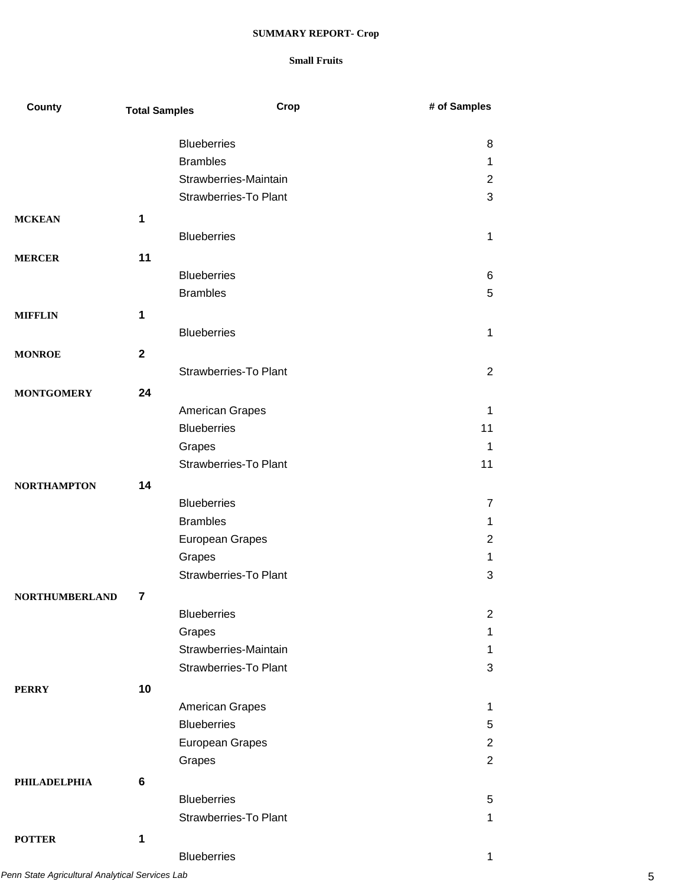| <b>County</b>         | <b>Total Samples</b> | Crop                                  | # of Samples                     |
|-----------------------|----------------------|---------------------------------------|----------------------------------|
|                       |                      |                                       |                                  |
|                       |                      | <b>Blueberries</b>                    | 8                                |
|                       |                      | <b>Brambles</b>                       | $\mathbf 1$                      |
|                       |                      | Strawberries-Maintain                 | $\overline{2}$                   |
|                       |                      | Strawberries-To Plant                 | 3                                |
| <b>MCKEAN</b>         | 1                    |                                       |                                  |
|                       |                      | <b>Blueberries</b>                    | 1                                |
| <b>MERCER</b>         | 11                   |                                       |                                  |
|                       |                      | <b>Blueberries</b>                    | 6                                |
|                       |                      | <b>Brambles</b>                       | 5                                |
| <b>MIFFLIN</b>        | 1                    |                                       |                                  |
|                       |                      | <b>Blueberries</b>                    | 1                                |
| <b>MONROE</b>         | $\mathbf{2}$         |                                       |                                  |
|                       |                      | <b>Strawberries-To Plant</b>          | 2                                |
| <b>MONTGOMERY</b>     | 24                   |                                       |                                  |
|                       |                      | American Grapes                       | 1                                |
|                       |                      | <b>Blueberries</b>                    | 11                               |
|                       |                      | Grapes                                | 1                                |
|                       |                      | <b>Strawberries-To Plant</b>          | 11                               |
| <b>NORTHAMPTON</b>    | 14                   |                                       |                                  |
|                       |                      | <b>Blueberries</b>                    | $\overline{7}$                   |
|                       |                      | <b>Brambles</b>                       | 1                                |
|                       |                      | European Grapes                       | $\overline{2}$                   |
|                       |                      | Grapes                                | $\mathbf 1$                      |
|                       |                      | <b>Strawberries-To Plant</b>          | 3                                |
|                       |                      |                                       |                                  |
| <b>NORTHUMBERLAND</b> | 7                    | <b>Blueberries</b>                    | $\overline{2}$                   |
|                       |                      | Grapes                                | $\mathbf 1$                      |
|                       |                      | Strawberries-Maintain                 | $\mathbf 1$                      |
|                       |                      | <b>Strawberries-To Plant</b>          | 3                                |
|                       |                      |                                       |                                  |
| <b>PERRY</b>          | 10                   |                                       |                                  |
|                       |                      | American Grapes<br><b>Blueberries</b> | 1                                |
|                       |                      |                                       | 5                                |
|                       |                      | European Grapes                       | $\overline{2}$<br>$\overline{2}$ |
|                       |                      | Grapes                                |                                  |
| <b>PHILADELPHIA</b>   | 6                    |                                       |                                  |
|                       |                      | <b>Blueberries</b>                    | 5                                |
|                       |                      | <b>Strawberries-To Plant</b>          | $\mathbf 1$                      |
| <b>POTTER</b>         | 1                    |                                       |                                  |
|                       |                      | <b>Blueberries</b>                    | 1                                |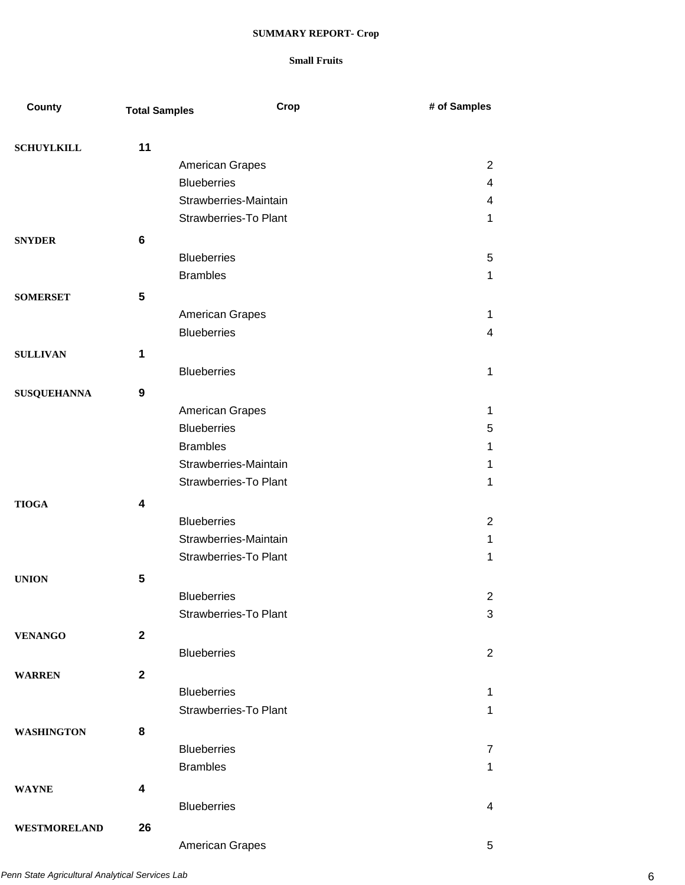| County             | <b>Total Samples</b> | Crop                         | # of Samples             |
|--------------------|----------------------|------------------------------|--------------------------|
| <b>SCHUYLKILL</b>  | 11                   |                              |                          |
|                    |                      | American Grapes              | 2                        |
|                    |                      | <b>Blueberries</b>           | 4                        |
|                    |                      | Strawberries-Maintain        | 4                        |
|                    |                      | <b>Strawberries-To Plant</b> | 1                        |
| <b>SNYDER</b>      | 6                    |                              |                          |
|                    |                      | <b>Blueberries</b>           | 5                        |
|                    |                      | <b>Brambles</b>              | 1                        |
| <b>SOMERSET</b>    | $5\phantom{.0}$      |                              |                          |
|                    |                      | <b>American Grapes</b>       | 1                        |
|                    |                      | <b>Blueberries</b>           | 4                        |
| <b>SULLIVAN</b>    | $\mathbf 1$          |                              |                          |
|                    |                      | <b>Blueberries</b>           | 1                        |
| <b>SUSQUEHANNA</b> | 9                    |                              |                          |
|                    |                      | American Grapes              | 1                        |
|                    |                      | <b>Blueberries</b>           | 5                        |
|                    |                      | <b>Brambles</b>              | 1                        |
|                    |                      | Strawberries-Maintain        | 1                        |
|                    |                      | <b>Strawberries-To Plant</b> | 1                        |
| <b>TIOGA</b>       | 4                    |                              |                          |
|                    |                      | <b>Blueberries</b>           | 2                        |
|                    |                      | Strawberries-Maintain        | 1                        |
|                    |                      | <b>Strawberries-To Plant</b> | 1                        |
| <b>UNION</b>       | 5                    |                              |                          |
|                    |                      | <b>Blueberries</b>           | 2                        |
|                    |                      | <b>Strawberries-To Plant</b> | 3                        |
| <b>VENANGO</b>     | $\mathbf{2}$         |                              |                          |
|                    |                      | <b>Blueberries</b>           | 2                        |
| <b>WARREN</b>      | $\mathbf 2$          |                              |                          |
|                    |                      | <b>Blueberries</b>           | 1                        |
|                    |                      | <b>Strawberries-To Plant</b> | $\mathbf{1}$             |
| <b>WASHINGTON</b>  | 8                    |                              |                          |
|                    |                      | <b>Blueberries</b>           | $\overline{7}$           |
|                    |                      | <b>Brambles</b>              | $\mathbf{1}$             |
| <b>WAYNE</b>       | 4                    |                              |                          |
|                    |                      | <b>Blueberries</b>           | $\overline{\mathcal{A}}$ |
| WESTMORELAND       | 26                   |                              |                          |
|                    |                      | <b>American Grapes</b>       | 5                        |